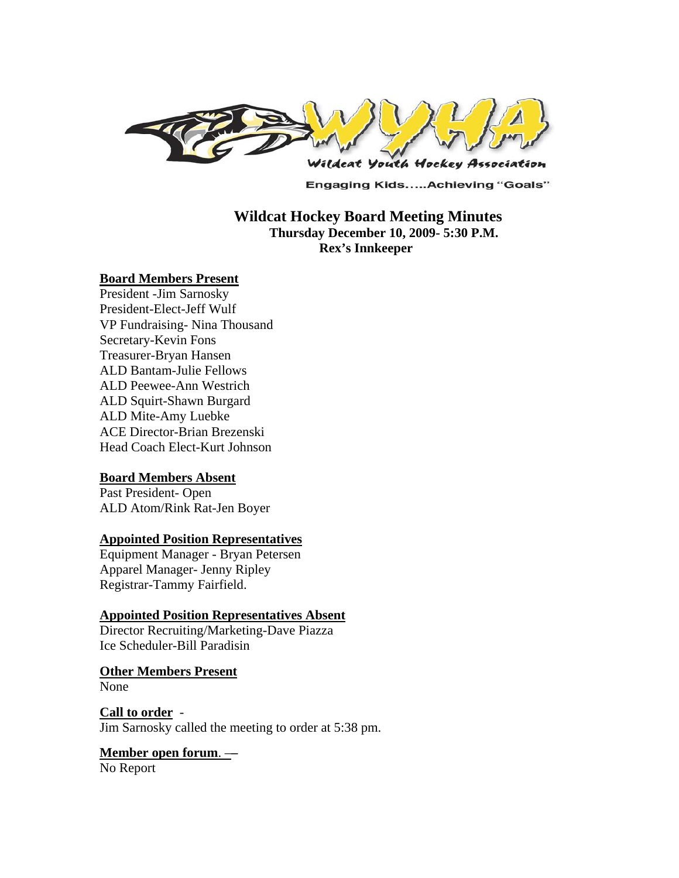

**Engaging Kids.....Achieving "Goals"** 

## **Wildcat Hockey Board Meeting Minutes Thursday December 10, 2009- 5:30 P.M. Rex's Innkeeper**

#### **Board Members Present**

President -Jim Sarnosky President-Elect-Jeff Wulf VP Fundraising- Nina Thousand Secretary-Kevin Fons Treasurer-Bryan Hansen ALD Bantam-Julie Fellows ALD Peewee-Ann Westrich ALD Squirt-Shawn Burgard ALD Mite-Amy Luebke ACE Director-Brian Brezenski Head Coach Elect-Kurt Johnson

#### **Board Members Absent**

Past President- Open ALD Atom/Rink Rat-Jen Boyer

#### **Appointed Position Representatives**

Equipment Manager - Bryan Petersen Apparel Manager- Jenny Ripley Registrar-Tammy Fairfield.

#### **Appointed Position Representatives Absent**

Director Recruiting/Marketing-Dave Piazza Ice Scheduler-Bill Paradisin

#### **Other Members Present**

None

**Call to order** - Jim Sarnosky called the meeting to order at 5:38 pm.

#### **Member open forum**. –**–** No Report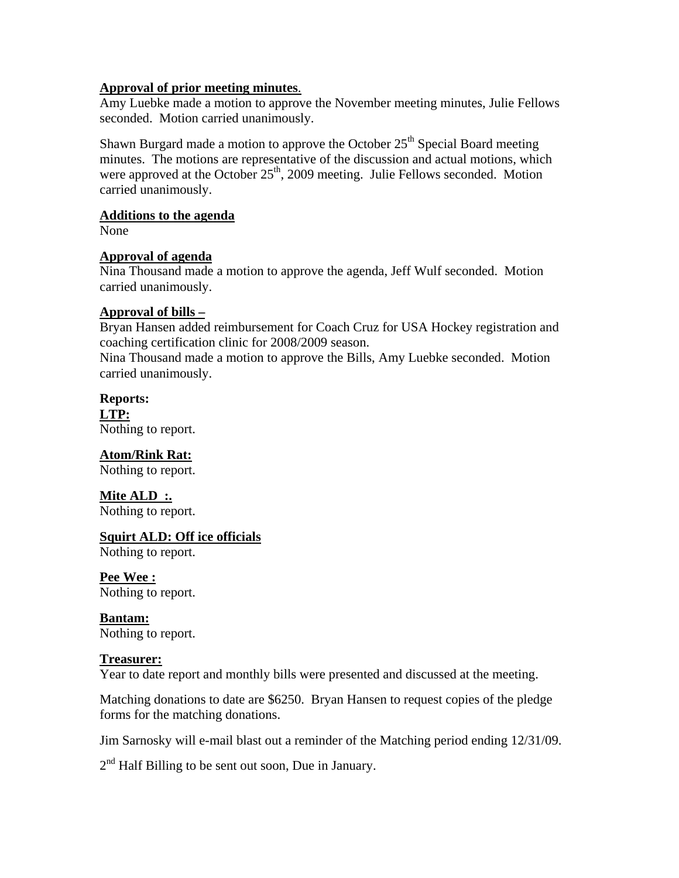## **Approval of prior meeting minutes**.

Amy Luebke made a motion to approve the November meeting minutes, Julie Fellows seconded. Motion carried unanimously.

Shawn Burgard made a motion to approve the October  $25<sup>th</sup>$  Special Board meeting minutes. The motions are representative of the discussion and actual motions, which were approved at the October  $25<sup>th</sup>$ , 2009 meeting. Julie Fellows seconded. Motion carried unanimously.

## **Additions to the agenda**

None

## **Approval of agenda**

Nina Thousand made a motion to approve the agenda, Jeff Wulf seconded. Motion carried unanimously.

## **Approval of bills –**

Bryan Hansen added reimbursement for Coach Cruz for USA Hockey registration and coaching certification clinic for 2008/2009 season.

Nina Thousand made a motion to approve the Bills, Amy Luebke seconded. Motion carried unanimously.

**Reports: LTP:**  Nothing to report.

**Atom/Rink Rat:**  Nothing to report.

**Mite ALD :.**  Nothing to report.

# **Squirt ALD: Off ice officials**

Nothing to report.

**Pee Wee :**  Nothing to report.

**Bantam:**  Nothing to report.

# **Treasurer:**

Year to date report and monthly bills were presented and discussed at the meeting.

Matching donations to date are \$6250. Bryan Hansen to request copies of the pledge forms for the matching donations.

Jim Sarnosky will e-mail blast out a reminder of the Matching period ending 12/31/09.

 $2<sup>nd</sup>$  Half Billing to be sent out soon, Due in January.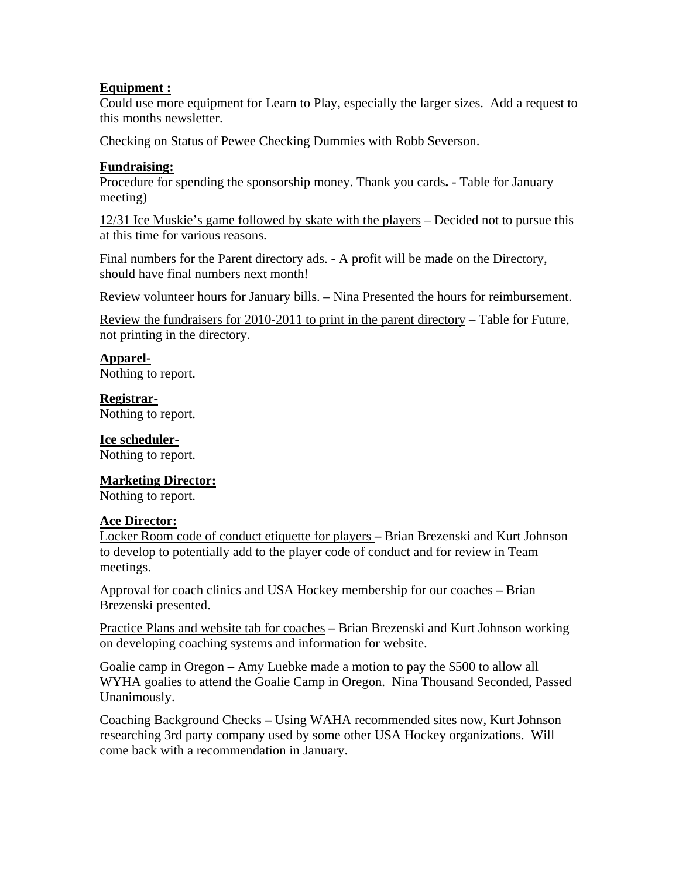# **Equipment :**

Could use more equipment for Learn to Play, especially the larger sizes. Add a request to this months newsletter.

Checking on Status of Pewee Checking Dummies with Robb Severson.

## **Fundraising:**

Procedure for spending the sponsorship money. Thank you cards**.** - Table for January meeting)

12/31 Ice Muskie's game followed by skate with the players – Decided not to pursue this at this time for various reasons.

Final numbers for the Parent directory ads. - A profit will be made on the Directory, should have final numbers next month!

Review volunteer hours for January bills. – Nina Presented the hours for reimbursement.

Review the fundraisers for 2010-2011 to print in the parent directory – Table for Future, not printing in the directory.

## **Apparel-**

Nothing to report.

# **Registrar-**

Nothing to report.

## **Ice scheduler-**

Nothing to report.

## **Marketing Director:**

Nothing to report.

## **Ace Director:**

Locker Room code of conduct etiquette for players **–** Brian Brezenski and Kurt Johnson to develop to potentially add to the player code of conduct and for review in Team meetings.

Approval for coach clinics and USA Hockey membership for our coaches **–** Brian Brezenski presented.

Practice Plans and website tab for coaches **–** Brian Brezenski and Kurt Johnson working on developing coaching systems and information for website.

Goalie camp in Oregon **–** Amy Luebke made a motion to pay the \$500 to allow all WYHA goalies to attend the Goalie Camp in Oregon. Nina Thousand Seconded, Passed Unanimously.

Coaching Background Checks **–** Using WAHA recommended sites now, Kurt Johnson researching 3rd party company used by some other USA Hockey organizations. Will come back with a recommendation in January.